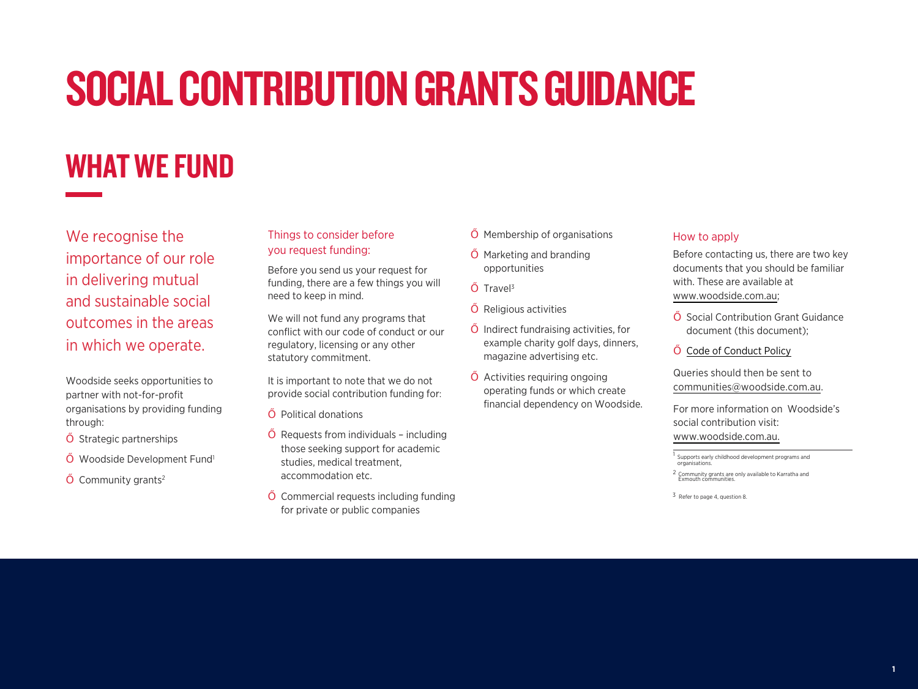# SOCIAL CONTRIBUTION GRANTS GUIDANCE

## WHAT WE FUND

We recognise the importance of our role in delivering mutual and sustainable social outcomes in the areas in which we operate.

Woodside seeks opportunities to partner with not-for-profit organisations by providing funding through:

Strategic partnerships

[Woodside Development Fund](https://www.woodside.com.au/sustainability/stronger-communities/the-woodside-development-fund)<sup>1</sup>

Community grants<sup>2</sup>

#### Things to consider before you request funding:

Before you send us your request for funding, there are a few things you will need to keep in mind.

We will not fund any programs that conflict with our code of conduct or our regulatory, licensing or any other statutory commitment.

It is important to note that we do not provide social contribution funding for:

Political donations

Requests from individuals – including those seeking support for academic studies, medical treatment, accommodation etc.

Commercial requests including funding for private or public companies

Membership of organisations

Marketing and branding opportunities

Travel<sup>3</sup>

Religious activities

Indirect fundraising activities, for example charity golf days, dinners, magazine advertising etc.

Activities requiring ongoing operating funds or which create financial dependency on Woodside.

#### How to apply

Before contacting us, there are two key documents that you should be familiar with. These are available at [www.woodside.com.au;](www.woodside.com.au)

Social Contribution Grant Guidance document (this document);

#### [Code of Conduct Policy](https://files.woodside/docs/default-source/about-us-documents/corporate-governance/woodside-policies-and-code-of-conduct/code-of-conduct.pdf?sfvrsn=17b5abff_14)

Queries should then be sent to [communities@woodside.com.au.](mailto:communities@woodside.com.au)

For more information on Woodside's social contribution visit: [www.woodside.com.au.](www.woodside.com.au)

Supports early childhood development programs and organisations.

3 Refer to page 4, question 8.

<sup>2</sup>  Community grants are only available to Karratha and Exmouth communities.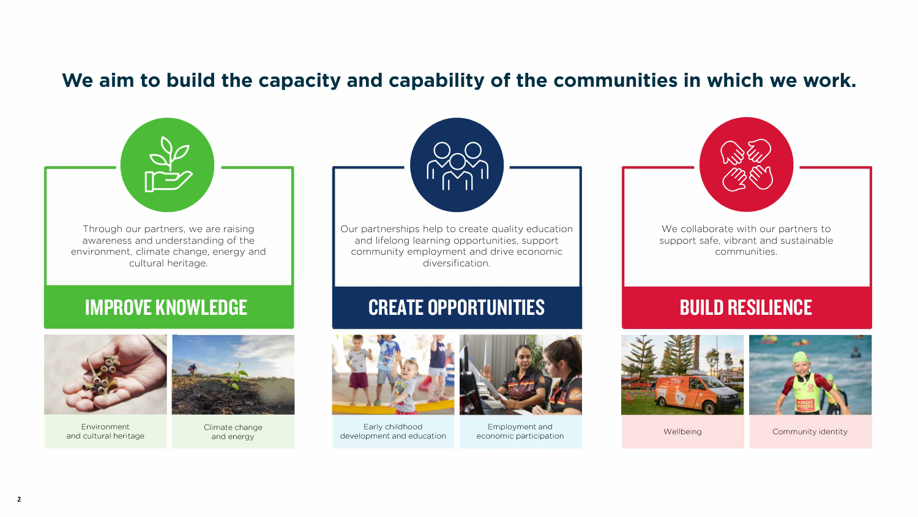### **We aim to build the capacity and capability of the communities in which we work.**

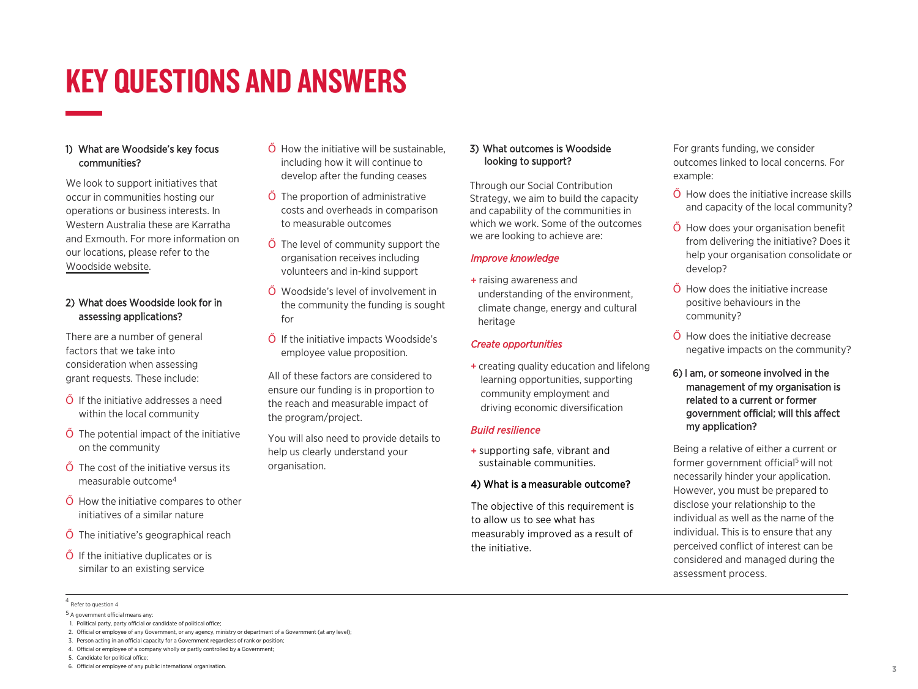### KEY QUESTIONS AND ANSWERS

#### 1) What are Woodside's key focus communities?

We look to support initiatives that occur in communities hosting our operations or business interests. In Western Australia these are Karratha and Exmouth. For more information on our locations, please refer to the [Woodside website.](www.woodside.com.au)

#### 2) What does Woodside look for in assessing applications?

There are a number of general factors that we take into consideration when assessing grant requests. These include:

If the initiative addresses a need within the local community

The potential impact of the initiative on the community

The cost of the initiative versus its measurable outcome<sup>4</sup>

How the initiative compares to other initiatives of a similar nature

The initiative's geographical reach

If the initiative duplicates or is similar to an existing service

How the initiative will be sustainable, including how it will continue to develop after the funding ceases

The proportion of administrative costs and overheads in comparison to measurable outcomes

The level of community support the organisation receives including volunteers and in-kind support

Woodside's level of involvement in the community the funding is sought for

If the initiative impacts Woodside's employee value proposition.

All of these factors are considered to ensure our funding is in proportion to the reach and measurable impact of the program/project.

You will also need to provide details to help us clearly understand your organisation.

#### 3) What outcomes is Woodside looking to support?

Through our Social Contribution Strategy, we aim to build the capacity and capability of the communities in which we work. Some of the outcomes we are looking to achieve are:

#### *Improve knowledge*

+ raising awareness and understanding of the environment, climate change, energy and cultural heritage

#### *Create opportunities*

+ creating quality education and lifelong learning opportunities, supporting community employment and driving economic diversification

#### *Build resilience*

+ supporting safe, vibrant and sustainable communities.

#### 4) What is a measurable outcome?

The objective of this requirement is to allow us to see what has measurably improved as a result of the initiative.

For grants funding, we consider outcomes linked to local concerns. For example:

How does the initiative increase skills and capacity of the local community?

How does your organisation benefit from delivering the initiative? Does it help your organisation consolidate or develop?

How does the initiative increase positive behaviours in the community?

How does the initiative decrease negative impacts on the community?

#### 6) I am, or someone involved in the management of my organisation is related to a current or former government official; will this affect my application?

Being a relative of either a current or former government official<sup>5</sup> will not necessarily hinder your application. However, you must be prepared to disclose your relationship to the individual as well as the name of the individual. This is to ensure that any perceived conflict of interest can be considered and managed during the assessment process.

4 Refer to question 4

3. Person acting in an official capacity for a Government regardless of rank or position;

<sup>5</sup> A government official means any:

<sup>1.</sup> Political party, party official or candidate of political office;

<sup>2.</sup> Official or employee of any Government, or any agency, ministry or department of a Government (at any level);

<sup>4.</sup> Official or employee of a company wholly or partly controlled by a Government; 5. Candidate for political office;

**b.** Official of employee of any public international organisation.  $\overline{3}$ 6. Official or employee of any public international organisation.